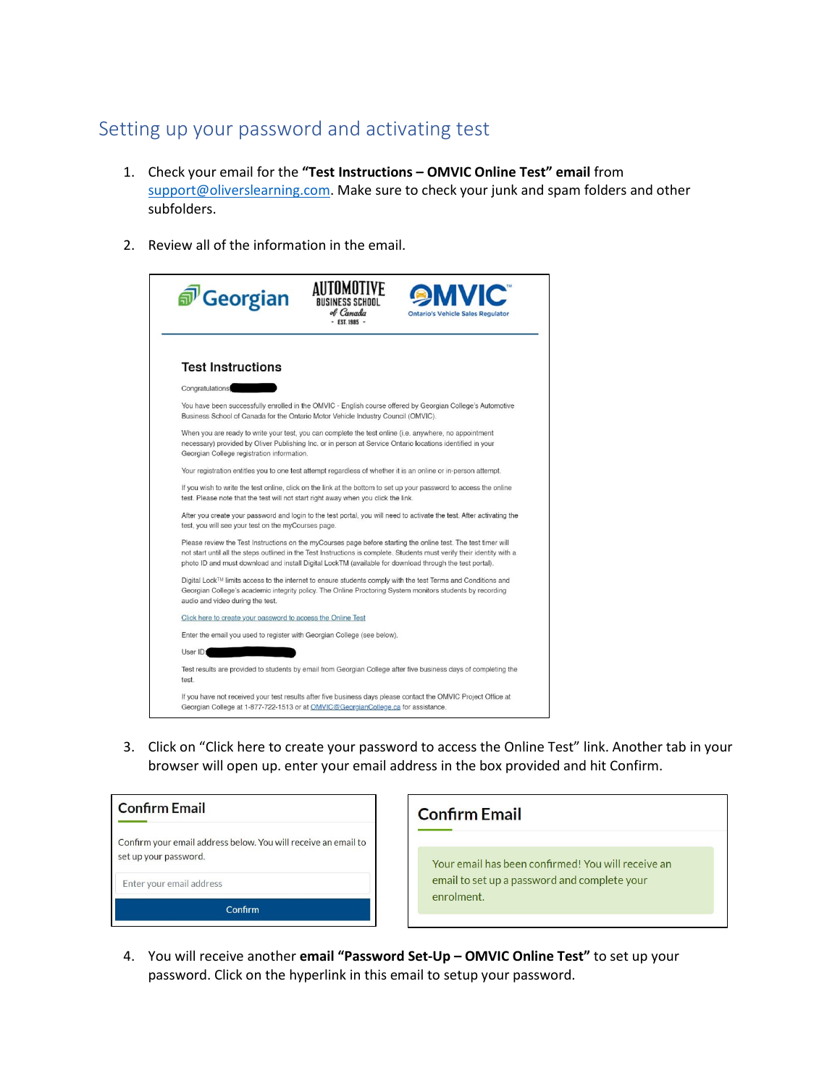## Setting up your password and activating test

- 1. Check your email for the **"Test Instructions – OMVIC Online Test" email** from [support@oliverslearning.com.](mailto:support@oliverslearning.com) Make sure to check your junk and spam folders and other subfolders.
- 2. Review all of the information in the email.



3. Click on "Click here to create your password to access the Online Test" link. Another tab in your browser will open up. enter your email address in the box provided and hit Confirm.



Your email has been confirmed! You will receive an email to set up a password and complete your enrolment.

4. You will receive another **email "Password Set-Up – OMVIC Online Test"** to set up your password. Click on the hyperlink in this email to setup your password.